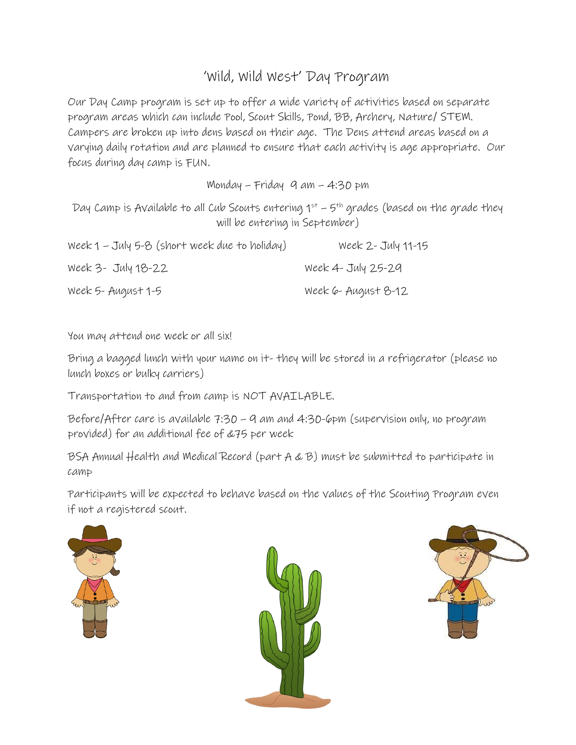## 'Wild, Wild West' Day Program

Our Day Camp program is set up to offer a wide variety of activities based on separate program areas which can include Pool, Scout Skills, Pond, BB, Archery, Nature/ STEM. Campers are broken up into dens based on their age. The Dens attend areas based on a varying daily rotation and are planned to ensure that each activity is age appropriate. Our focus during day camp is FUN.

Monday – Friday 9 am – 4:30 pm

Day Camp is Available to all Cub Scouts entering  $1^{st}$  – 5<sup>th</sup> grades (based on the grade they will be entering in September)

| Week 1 - July 5-8 (short week due to holiday) | Week 2 - July 11-15 |
|-----------------------------------------------|---------------------|
| Week 3- July 18-22                            | Week 4 - July 25-29 |
| Week 5- August 1-5                            | Week 6- August 8-12 |

You may attend one week or all six!

Bring a bagged lunch with your name on it- they will be stored in a refrigerator (please no lunch boxes or bulky carriers)

Transportation to and from camp is NOT AVAILABLE.

Before/After care is available 7:30 – 9 am and 4:30-6pm (supervision only, no program provided) for an additional fee of &75 per week

BSA Annual Health and Medical Record (part A & B) must be submitted to participate in camp

Participants will be expected to behave based on the values of the Scouting Program even if not a registered scout.





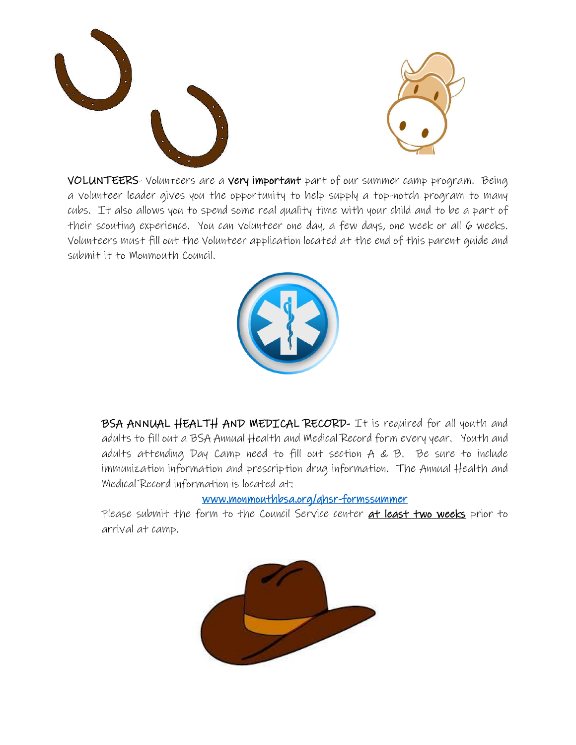



VOLUNTEERS- Volunteers are a very important part of our summer camp program. Being a volunteer leader gives you the opportunity to help supply a top-notch program to many cubs. It also allows you to spend some real quality time with your child and to be a part of their scouting experience. You can volunteer one day, a few days, one week or all 6 weeks. Volunteers must fill out the Volunteer application located at the end of this parent guide and submit it to Monmouth Council.



BSA ANNUAL HEALTH AND MEDICAL RECORD- It is required for all youth and adults to fill out a BSA Annual Health and Medical Record form every year. Youth and adults attending Day Camp need to fill out section A & B. Be sure to include immunization information and prescription drug information. The Annual Health and Medical Record information is located at:

### [www.monmouthbsa.org/qhsr-formssummer](http://www.monmouthbsa.org/qhsr-formssummer)

Please submit the form to the Council Service center at least two weeks prior to arrival at camp.

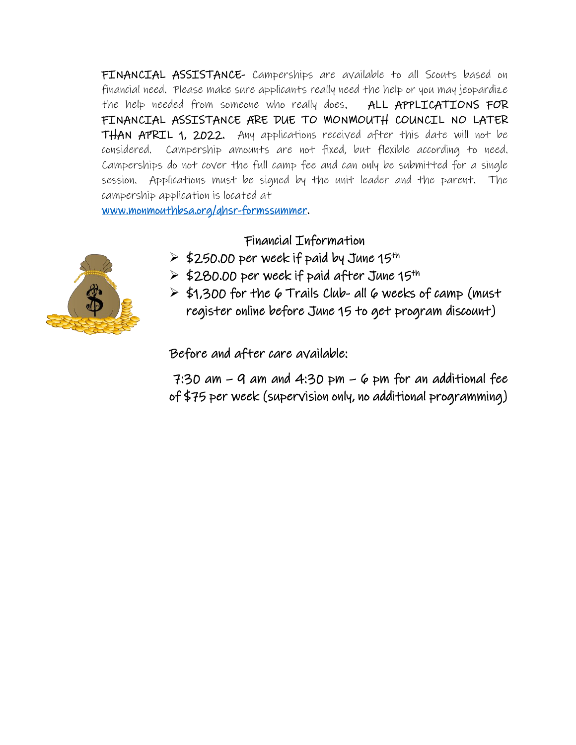FINANCIAL ASSISTANCE- Camperships are available to all Scouts based on financial need. Please make sure applicants really need the help or you may jeopardize the help needed from someone who really does. ALL APPLICATIONS FOR FINANCIAL ASSISTANCE ARE DUE TO MONMOUTH COUNCIL NO LATER THAN APRIL 1, 2022. Any applications received after this date will not be considered. Campership amounts are not fixed, but flexible according to need. Camperships do not cover the full camp fee and can only be submitted for a single session. Applications must be signed by the unit leader and the parent. The campership application is located at

[www.monmouthbsa.org/qhsr-formssummer.](http://www.monmouthbsa.org/qhsr-formssummer)

#### Financial Information

- $\ge$  \$250.00 per week if paid by June 15<sup>th</sup>
- $\ge$  \$280.00 per week if paid after June 15<sup>th</sup>
- $\ge$  \$1,300 for the 6 Trails Club- all 6 weeks of camp (must register online before June 15 to get program discount)

Before and after care available:

 $7:30$  am  $-$  9 am and  $4:30$  pm  $-$  6 pm for an additional fee of \$75 per week (supervision only, no additional programming)

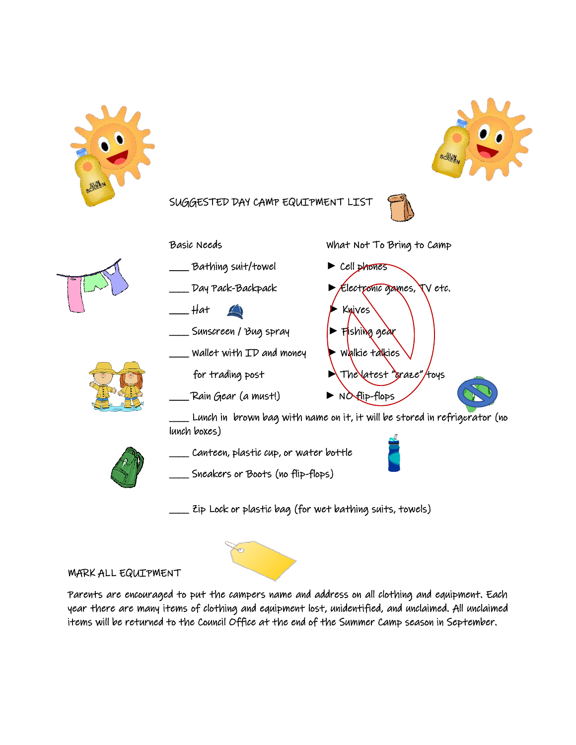



SUGGESTED DAY CAMP EQUIPMENT LIST

Basic Needs What Not To B[ring](http://gisatvassar.blogspot.com/2007/10/google-earth-lunchtime-demonstration.html) to Camp









\_\_\_\_ Sunscreen / Bug spray **►** Fishing gear \_\_\_\_ Wallet with ID and money **►** Walkie talkies for trading post  $\rightarrow$  The latest "graze"/toys \_\_\_\_ Rain Gear (a must!) **►** NO flip-flops

\_\_\_\_ Bathing suit/towel **►** Cell phones \_\_\_\_ Day Pack-Backpack **►** Electronic games, TV etc. \_\_\_\_ Hat **►** Knives

\_\_\_\_ Lunch in brown bag with name on it, it will be stored in refrigerator (no lunch boxes)

Canteen, plastic cup, or water bottle



Sneakers or Boots (no flip-flops)

Zip Lock or plastic bag (for wet bathing suits, [tow](https://creativecommons.org/licenses/by-sa/3.0/)els)

#### MARK ALL EQUIPMENT

Parents are encouraged to put the campers name and address on all clothing and equipment. Each year there are many items of clothing and equipment lost, unidentified, and unclaimed. All unclaimed items will be returned to the Council Office at the end of the Summer Camp season in September.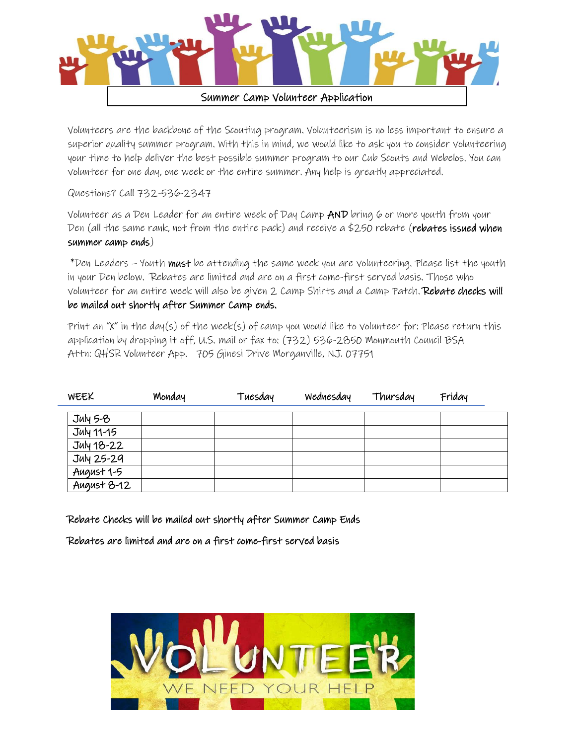

Volunteers are the backbone of the Scouting program. Volunteerism is no less important to ensure a superior quality summer program. With this in mind, we would like to ask you to consider volunteering your time to help deliver the best possible summer program to our Cub Scouts and Webelos. You can volunteer for one day, one week or the entire summer. Any help is greatly appreciated.

Questions? Call 732-536-2347

Volunteer as a Den Leader for an entire week of Day Camp AND bring 6 or more youth from your Den (all the same rank, not from the entire pack) and receive a \$250 rebate (rebates issued when summer camp ends)

\*Den Leaders – Youth must be attending the same week you are volunteering. Please list the youth in your Den below. Rebates are limited and are on a first come-first served basis. Those who volunteer for an entire week will also be given 2 Camp Shirts and a Camp Patch. Rebate checks will be mailed out shortly after Summer Camp ends.

Print an "X" in the day(s) of the week(s) of camp you would like to volunteer for: Please return this application by dropping it off, U.S. mail or fax to: (732) 536-2850 Monmouth Council BSA Attn: QHSR Volunteer App. 705 Ginesi Drive Morganville, NJ. 07751

| WEEK        | Monday | Tuesday | Wednesday | Thursday | Friday |
|-------------|--------|---------|-----------|----------|--------|
| $July 5-8$  |        |         |           |          |        |
| July 11-15  |        |         |           |          |        |
| July 18-22  |        |         |           |          |        |
| July 25-29  |        |         |           |          |        |
| August 1-5  |        |         |           |          |        |
| August 8-12 |        |         |           |          |        |

Rebate Checks will be mailed out shortly after Summer Camp Ends

Rebates are limited and are on a first come-first served basis